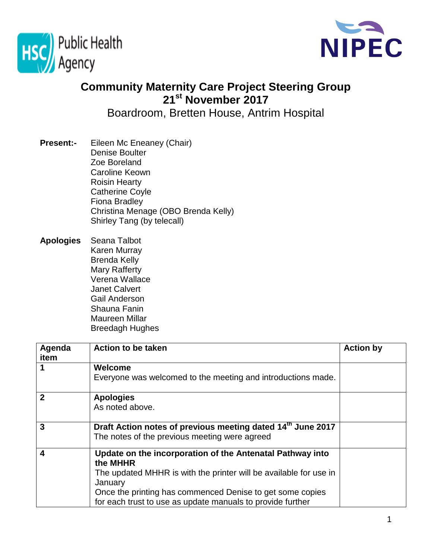



## **Community Maternity Care Project Steering Group 21st November 2017**

Boardroom, Bretten House, Antrim Hospital

- **Present:-** Eileen Mc Eneaney (Chair) Denise Boulter Zoe Boreland Caroline Keown Roisin Hearty Catherine Coyle Fiona Bradley Christina Menage (OBO Brenda Kelly) Shirley Tang (by telecall)
- **Apologies** Seana Talbot Karen Murray Brenda Kelly Mary Rafferty Verena Wallace Janet Calvert Gail Anderson Shauna Fanin Maureen Millar Breedagh Hughes

| Agenda<br>item          | <b>Action to be taken</b>                                                                                    | <b>Action by</b> |
|-------------------------|--------------------------------------------------------------------------------------------------------------|------------------|
|                         | Welcome<br>Everyone was welcomed to the meeting and introductions made.                                      |                  |
|                         |                                                                                                              |                  |
| $\overline{2}$          | <b>Apologies</b>                                                                                             |                  |
|                         | As noted above.                                                                                              |                  |
| $\mathbf{3}$            | Draft Action notes of previous meeting dated 14th June 2017<br>The notes of the previous meeting were agreed |                  |
| $\overline{\mathbf{4}}$ | Update on the incorporation of the Antenatal Pathway into                                                    |                  |
|                         | the MHHR                                                                                                     |                  |
|                         | The updated MHHR is with the printer will be available for use in                                            |                  |
|                         | January                                                                                                      |                  |
|                         | Once the printing has commenced Denise to get some copies                                                    |                  |
|                         | for each trust to use as update manuals to provide further                                                   |                  |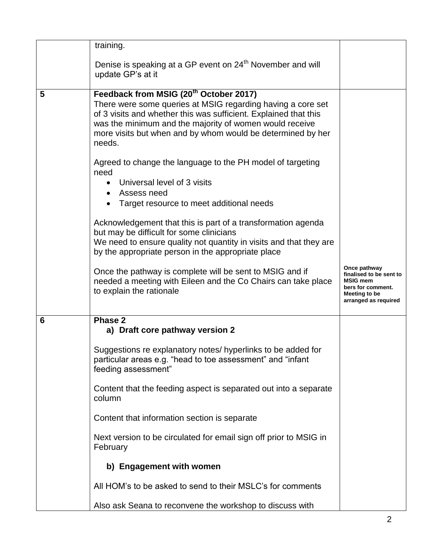|   | training.                                                                                                                                                                                                                                                                                                                 |                                                                                                                          |
|---|---------------------------------------------------------------------------------------------------------------------------------------------------------------------------------------------------------------------------------------------------------------------------------------------------------------------------|--------------------------------------------------------------------------------------------------------------------------|
|   | Denise is speaking at a GP event on 24 <sup>th</sup> November and will<br>update GP's at it                                                                                                                                                                                                                               |                                                                                                                          |
| 5 | Feedback from MSIG (20 <sup>th</sup> October 2017)<br>There were some queries at MSIG regarding having a core set<br>of 3 visits and whether this was sufficient. Explained that this<br>was the minimum and the majority of women would receive<br>more visits but when and by whom would be determined by her<br>needs. |                                                                                                                          |
|   | Agreed to change the language to the PH model of targeting<br>need<br>Universal level of 3 visits<br>$\bullet$<br>Assess need<br>$\bullet$<br>Target resource to meet additional needs                                                                                                                                    |                                                                                                                          |
|   | Acknowledgement that this is part of a transformation agenda<br>but may be difficult for some clinicians<br>We need to ensure quality not quantity in visits and that they are<br>by the appropriate person in the appropriate place                                                                                      |                                                                                                                          |
|   | Once the pathway is complete will be sent to MSIG and if<br>needed a meeting with Eileen and the Co Chairs can take place<br>to explain the rationale                                                                                                                                                                     | Once pathway<br>finalised to be sent to<br><b>MSIG mem</b><br>bers for comment.<br>Meeting to be<br>arranged as required |
| 6 | Phase 2<br>a) Draft core pathway version 2                                                                                                                                                                                                                                                                                |                                                                                                                          |
|   | Suggestions re explanatory notes/ hyperlinks to be added for<br>particular areas e.g. "head to toe assessment" and "infant<br>feeding assessment"                                                                                                                                                                         |                                                                                                                          |
|   | Content that the feeding aspect is separated out into a separate<br>column                                                                                                                                                                                                                                                |                                                                                                                          |
|   | Content that information section is separate                                                                                                                                                                                                                                                                              |                                                                                                                          |
|   | Next version to be circulated for email sign off prior to MSIG in<br>February                                                                                                                                                                                                                                             |                                                                                                                          |
|   | b) Engagement with women                                                                                                                                                                                                                                                                                                  |                                                                                                                          |
|   | All HOM's to be asked to send to their MSLC's for comments                                                                                                                                                                                                                                                                |                                                                                                                          |
|   | Also ask Seana to reconvene the workshop to discuss with                                                                                                                                                                                                                                                                  |                                                                                                                          |